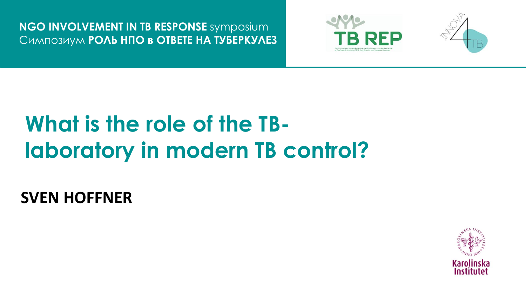**NGO INVOLVEMENT IN TB RESPONSE** symposium CHMNO3HYM POAL HNO B OTBETE HA TYLEPKYAE3





# What is the role of the TBlaboratory in modern TB control?

**SVEN HOFFNER** 

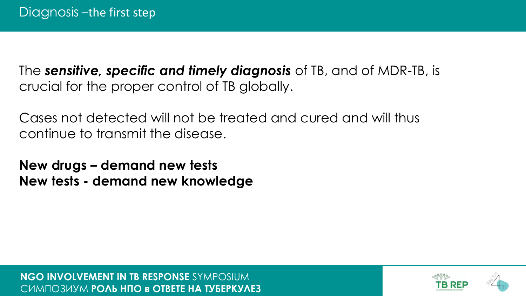The *sensitive, specific and timely diagnosis* of TB, and of MDR-TB, is crucial for the proper control of TB globally.

Cases not detected will not be treated and cured and will thus continue to transmit the disease.

**New drugs – demand new tests New tests - demand new knowledge**

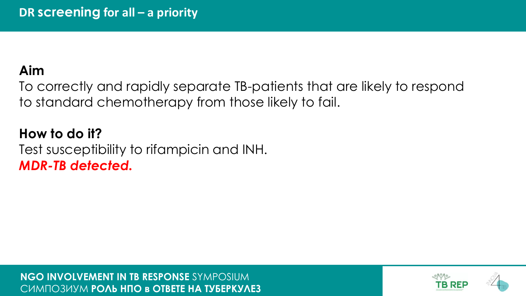# Aim

To correctly and rapidly separate TB-patients that are likely to respond to standard chemotherapy from those likely to fail.

How to do it? Test susceptibility to rifampicin and INH. **MDR-TB detected.** 

NGO INVOLVEMENT IN TB RESPONSE SYMPOSIUM CUMIO3UYM POAL HIO B OTBETE HA TYLEPKYAE3

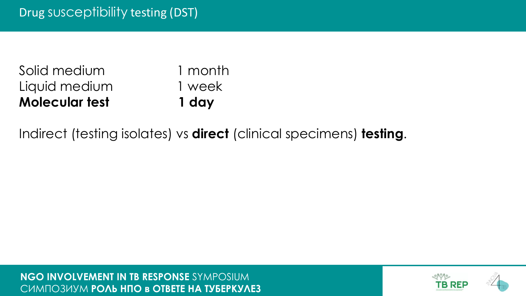| <b>Molecular test</b> | 1 day   |
|-----------------------|---------|
| Liquid medium         | 1 week  |
| Solid medium          | 1 month |

Indirect (testing isolates) vs **direct** (clinical specimens) **testing**.

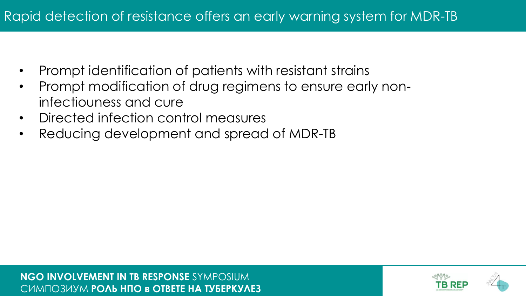- Prompt identification of patients with resistant strains
- Prompt modification of drug regimens to ensure early noninfectiouness and cure
- Directed infection control measures
- Reducing development and spread of MDR-TB

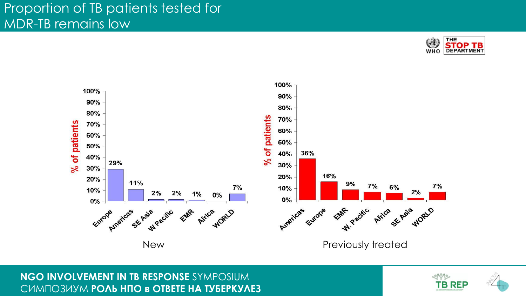



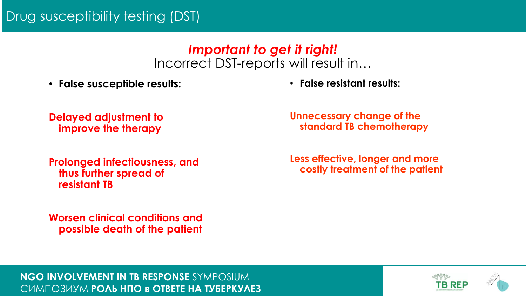## Drug susceptibility testing (DST)

#### *Important to get it right!* Incorrect DST-reports will result in…

• **False susceptible results:**

• **False resistant results:**

**Delayed adjustment to improve the therapy**

**Prolonged infectiousness, and thus further spread of resistant TB**

**Worsen clinical conditions and possible death of the patient** **Unnecessary change of the standard TB chemotherapy**

**Less effective, longer and more costly treatment of the patient**

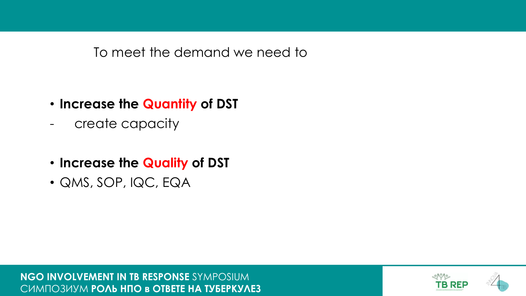To meet the demand we need to

- **Increase the Quantity of DST**
- create capacity
- **Increase the Quality of DST**
- QMS, SOP, IQC, EQA

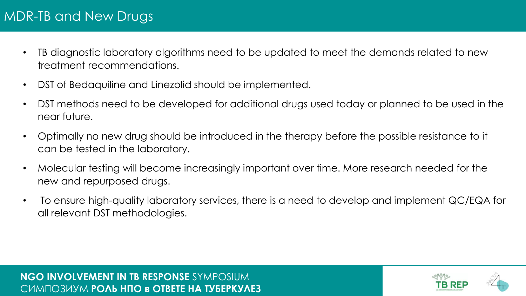# MDR-TB and New Drugs

- TB diagnostic laboratory algorithms need to be updated to meet the demands related to new treatment recommendations.
- DST of Bedaquiline and Linezolid should be implemented.
- DST methods need to be developed for additional drugs used today or planned to be used in the near future.
- Optimally no new drug should be introduced in the therapy before the possible resistance to it can be tested in the laboratory.
- Molecular testing will become increasingly important over time. More research needed for the new and repurposed drugs.
- To ensure high-quality laboratory services, there is a need to develop and implement QC/EQA for all relevant DST methodologies.

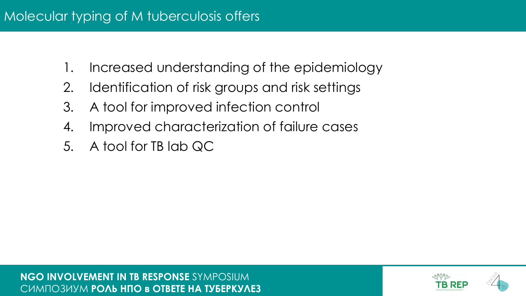- 1. Increased understanding of the epidemiology
- 2. Identification of risk groups and risk settings
- 3. A tool for improved infection control
- 4. Improved characterization of failure cases
- 5. A tool for TB lab QC

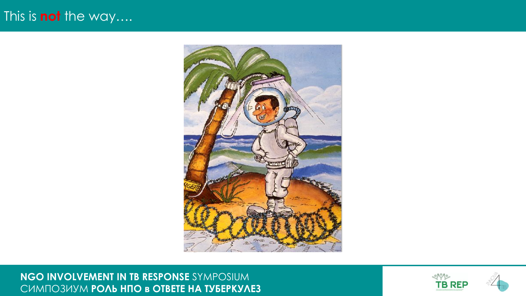## This is not the way....



NGO INVOLVEMENT IN TB RESPONSE SYMPOSIUM CUMNO3UYM POAЬ НПО в ОТВЕТЕ НА ТУБЕРКУЛЕЗ